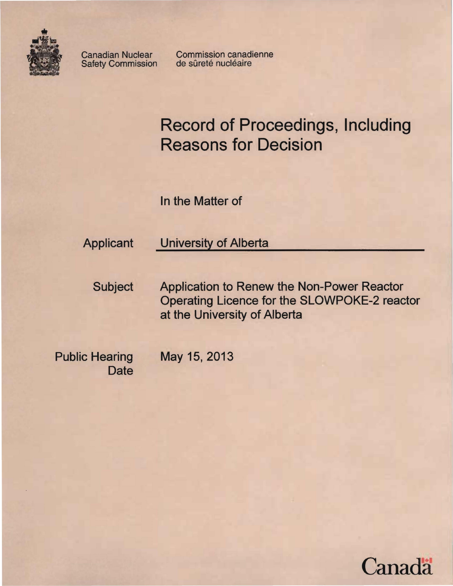

Safety Commission

Canadian Nuclear Commission canadienne<br>
Safety Commission de sûreté nucléaire

**Record of Proceedings, Including Reasons for Decision** 

In the Matter of

# Applicant University of Alberta

Subject Application to Renew the Non-Power Reactor Operating Licence for the SLOWPOKE-2 reactor at the University of Alberta

Public Hearing May 15, 2013 **Date** 

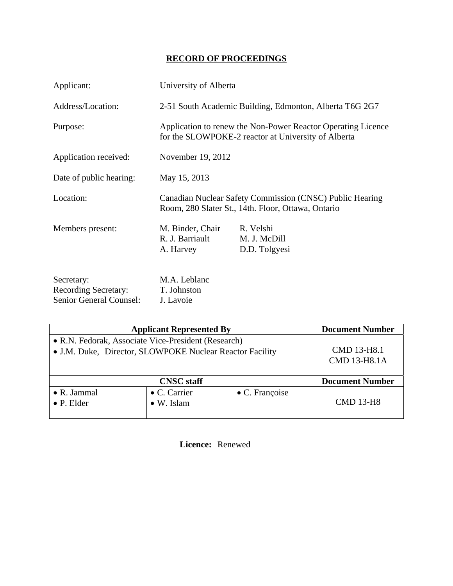# **RECORD OF PROCEEDINGS**

| Applicant:                                                           | University of Alberta                                                                                               |                                            |  |
|----------------------------------------------------------------------|---------------------------------------------------------------------------------------------------------------------|--------------------------------------------|--|
| Address/Location:                                                    | 2-51 South Academic Building, Edmonton, Alberta T6G 2G7                                                             |                                            |  |
| Purpose:                                                             | Application to renew the Non-Power Reactor Operating Licence<br>for the SLOWPOKE-2 reactor at University of Alberta |                                            |  |
| Application received:                                                | November 19, 2012                                                                                                   |                                            |  |
| Date of public hearing:                                              | May 15, 2013                                                                                                        |                                            |  |
| Location:                                                            | Canadian Nuclear Safety Commission (CNSC) Public Hearing<br>Room, 280 Slater St., 14th. Floor, Ottawa, Ontario      |                                            |  |
| Members present:                                                     | M. Binder, Chair<br>R. J. Barriault<br>A. Harvey                                                                    | R. Velshi<br>M. J. McDill<br>D.D. Tolgyesi |  |
| Secretary:<br><b>Recording Secretary:</b><br>Senior General Counsel: | M.A. Leblanc<br>T. Johnston<br>J. Lavoie                                                                            |                                            |  |

| <b>Applicant Represented By</b>                          |                    |                        | <b>Document Number</b> |
|----------------------------------------------------------|--------------------|------------------------|------------------------|
| • R.N. Fedorak, Associate Vice-President (Research)      | CMD 13-H8.1        |                        |                        |
| • J.M. Duke, Director, SLOWPOKE Nuclear Reactor Facility |                    |                        |                        |
|                                                          |                    |                        | <b>CMD 13-H8.1A</b>    |
|                                                          |                    |                        |                        |
| <b>CNSC</b> staff                                        |                    |                        | <b>Document Number</b> |
| $\bullet$ R. Jammal                                      | • C. Carrier       | $\bullet$ C. Françoise |                        |
| $\bullet$ P. Elder                                       | $\bullet$ W. Islam |                        | <b>CMD 13-H8</b>       |
|                                                          |                    |                        |                        |

 **Licence:** Renewed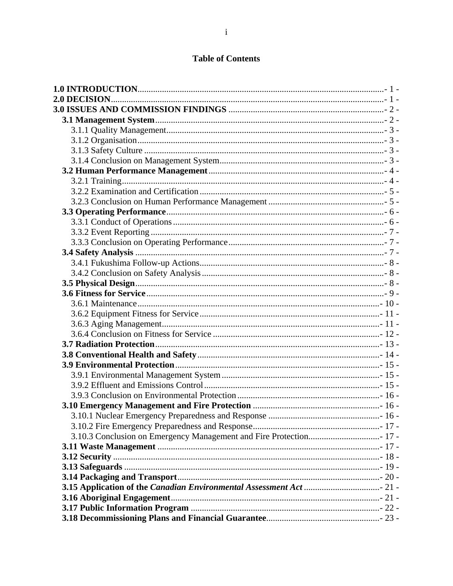# **Table of Contents**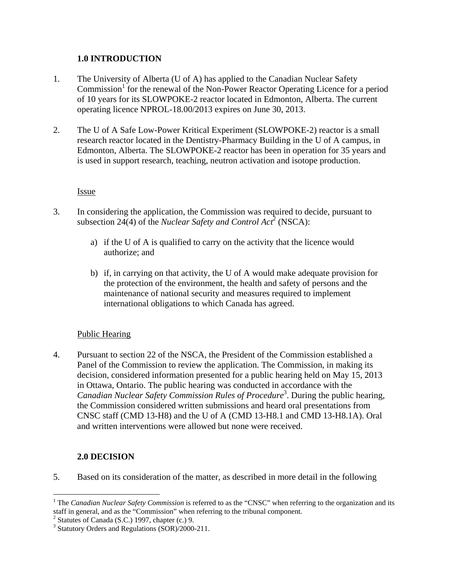# **1.0 INTRODUCTION**

- 1. The University of Alberta (U of A) has applied to the Canadian Nuclear Safety Commission<sup>1</sup> for the renewal of the Non-Power Reactor Operating Licence for a period of 10 years for its SLOWPOKE-2 reactor located in Edmonton, Alberta. The current operating licence NPROL-18.00/2013 expires on June 30, 2013.
- 2. The U of A Safe Low-Power Kritical Experiment (SLOWPOKE-2) reactor is a small research reactor located in the Dentistry-Pharmacy Building in the U of A campus, in Edmonton, Alberta. The SLOWPOKE-2 reactor has been in operation for 35 years and is used in support research, teaching, neutron activation and isotope production.

**Issue** 

- 3. In considering the application, the Commission was required to decide, pursuant to subsection 24(4) of the *Nuclear Safety and Control Act*<sup>2</sup> (NSCA):
	- a) if the U of A is qualified to carry on the activity that the licence would authorize; and
	- b) if, in carrying on that activity, the U of A would make adequate provision for the protection of the environment, the health and safety of persons and the maintenance of national security and measures required to implement international obligations to which Canada has agreed.

# Public Hearing

4. Pursuant to section 22 of the NSCA, the President of the Commission established a Panel of the Commission to review the application. The Commission, in making its decision, considered information presented for a public hearing held on May 15, 2013 in Ottawa, Ontario. The public hearing was conducted in accordance with the *Canadian Nuclear Safety Commission Rules of Procedure*<sup>3</sup> . During the public hearing, the Commission considered written submissions and heard oral presentations from CNSC staff (CMD 13-H8) and the U of A (CMD 13-H8.1 and CMD 13-H8.1A). Oral and written interventions were allowed but none were received.

# **2.0 DECISION**

 $\overline{a}$ 

5. Based on its consideration of the matter, as described in more detail in the following

<sup>&</sup>lt;sup>1</sup> The *Canadian Nuclear Safety Commission* is referred to as the "CNSC" when referring to the organization and its staff in general, and as the "Commission" when referring to the tribunal component.

 $2$  Statutes of Canada (S.C.) 1997, chapter (c.) 9.

<sup>&</sup>lt;sup>3</sup> Statutory Orders and Regulations (SOR)/2000-211.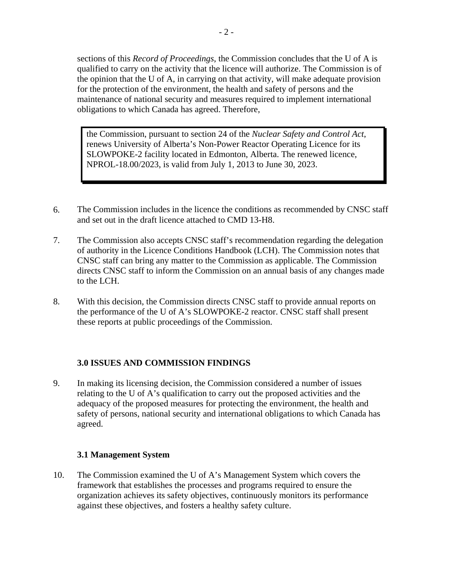sections of this *Record of Proceedings*, the Commission concludes that the U of A is qualified to carry on the activity that the licence will authorize. The Commission is of the opinion that the U of A, in carrying on that activity, will make adequate provision for the protection of the environment, the health and safety of persons and the maintenance of national security and measures required to implement international obligations to which Canada has agreed. Therefore,

the Commission, pursuant to section 24 of the *Nuclear Safety and Control Act*, renews University of Alberta's Non-Power Reactor Operating Licence for its SLOWPOKE-2 facility located in Edmonton, Alberta. The renewed licence, NPROL-18.00/2023, is valid from July 1, 2013 to June 30, 2023.

- 6. The Commission includes in the licence the conditions as recommended by CNSC staff and set out in the draft licence attached to CMD 13-H8.
- 7. The Commission also accepts CNSC staff's recommendation regarding the delegation of authority in the Licence Conditions Handbook (LCH). The Commission notes that CNSC staff can bring any matter to the Commission as applicable. The Commission directs CNSC staff to inform the Commission on an annual basis of any changes made to the LCH.
- 8. With this decision, the Commission directs CNSC staff to provide annual reports on the performance of the U of A's SLOWPOKE-2 reactor. CNSC staff shall present these reports at public proceedings of the Commission.

# **3.0 ISSUES AND COMMISSION FINDINGS**

9. In making its licensing decision, the Commission considered a number of issues relating to the U of A's qualification to carry out the proposed activities and the adequacy of the proposed measures for protecting the environment, the health and safety of persons, national security and international obligations to which Canada has agreed.

# **3.1 Management System**

10. The Commission examined the U of A's Management System which covers the framework that establishes the processes and programs required to ensure the organization achieves its safety objectives, continuously monitors its performance against these objectives, and fosters a healthy safety culture.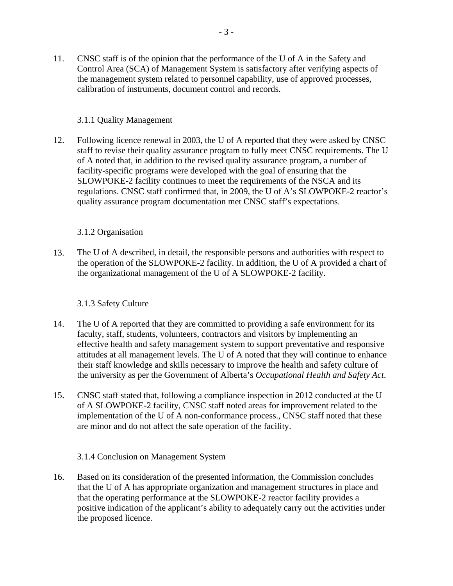11. CNSC staff is of the opinion that the performance of the U of A in the Safety and Control Area (SCA) of Management System is satisfactory after verifying aspects of the management system related to personnel capability, use of approved processes, calibration of instruments, document control and records.

# 3.1.1 Quality Management

12. Following licence renewal in 2003, the U of A reported that they were asked by CNSC staff to revise their quality assurance program to fully meet CNSC requirements. The U of A noted that, in addition to the revised quality assurance program, a number of facility-specific programs were developed with the goal of ensuring that the SLOWPOKE-2 facility continues to meet the requirements of the NSCA and its regulations. CNSC staff confirmed that, in 2009, the U of A's SLOWPOKE-2 reactor's quality assurance program documentation met CNSC staff's expectations.

# 3.1.2 Organisation

13. The U of A described, in detail, the responsible persons and authorities with respect to the operation of the SLOWPOKE-2 facility. In addition, the U of A provided a chart of the organizational management of the U of A SLOWPOKE-2 facility.

#### 3.1.3 Safety Culture

- 14. The U of A reported that they are committed to providing a safe environment for its faculty, staff, students, volunteers, contractors and visitors by implementing an effective health and safety management system to support preventative and responsive attitudes at all management levels. The U of A noted that they will continue to enhance their staff knowledge and skills necessary to improve the health and safety culture of the university as per the Government of Alberta's *Occupational Health and Safety Act*.
- 15. CNSC staff stated that, following a compliance inspection in 2012 conducted at the U of A SLOWPOKE-2 facility, CNSC staff noted areas for improvement related to the implementation of the U of A non-conformance process., CNSC staff noted that these are minor and do not affect the safe operation of the facility.

3.1.4 Conclusion on Management System

16. Based on its consideration of the presented information, the Commission concludes that the U of A has appropriate organization and management structures in place and that the operating performance at the SLOWPOKE-2 reactor facility provides a positive indication of the applicant's ability to adequately carry out the activities under the proposed licence.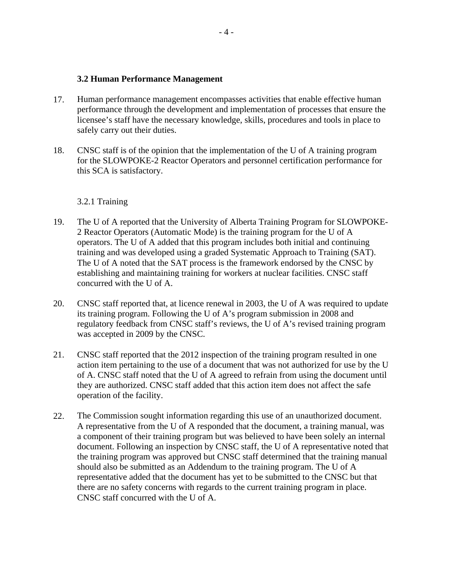#### **3.2 Human Performance Management**

- 17. Human performance management encompasses activities that enable effective human performance through the development and implementation of processes that ensure the licensee's staff have the necessary knowledge, skills, procedures and tools in place to safely carry out their duties.
- 18. CNSC staff is of the opinion that the implementation of the U of A training program for the SLOWPOKE-2 Reactor Operators and personnel certification performance for this SCA is satisfactory.

#### 3.2.1 Training

- 19. The U of A reported that the University of Alberta Training Program for SLOWPOKE-2 Reactor Operators (Automatic Mode) is the training program for the U of A operators. The U of A added that this program includes both initial and continuing training and was developed using a graded Systematic Approach to Training (SAT). The U of A noted that the SAT process is the framework endorsed by the CNSC by establishing and maintaining training for workers at nuclear facilities. CNSC staff concurred with the U of A.
- 20. CNSC staff reported that, at licence renewal in 2003, the U of A was required to update its training program. Following the U of A's program submission in 2008 and regulatory feedback from CNSC staff's reviews, the U of A's revised training program was accepted in 2009 by the CNSC.
- 21. CNSC staff reported that the 2012 inspection of the training program resulted in one action item pertaining to the use of a document that was not authorized for use by the U of A. CNSC staff noted that the U of A agreed to refrain from using the document until they are authorized. CNSC staff added that this action item does not affect the safe operation of the facility.
- 22. The Commission sought information regarding this use of an unauthorized document. A representative from the U of A responded that the document, a training manual, was a component of their training program but was believed to have been solely an internal document. Following an inspection by CNSC staff, the U of A representative noted that the training program was approved but CNSC staff determined that the training manual should also be submitted as an Addendum to the training program. The U of A representative added that the document has yet to be submitted to the CNSC but that there are no safety concerns with regards to the current training program in place. CNSC staff concurred with the U of A.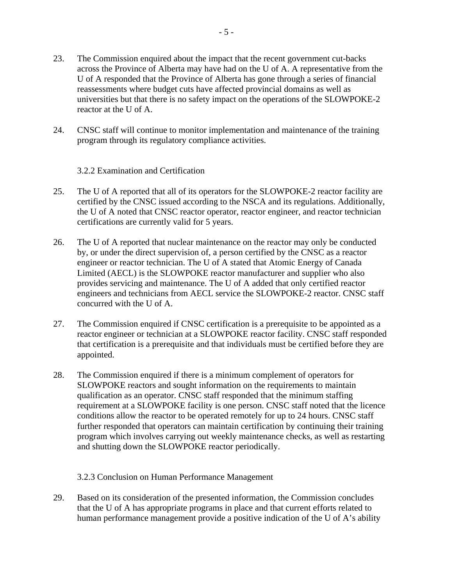- 23. The Commission enquired about the impact that the recent government cut-backs across the Province of Alberta may have had on the U of A. A representative from the U of A responded that the Province of Alberta has gone through a series of financial reassessments where budget cuts have affected provincial domains as well as universities but that there is no safety impact on the operations of the SLOWPOKE-2 reactor at the U of A.
- 24. CNSC staff will continue to monitor implementation and maintenance of the training program through its regulatory compliance activities.

3.2.2 Examination and Certification

- 25. The U of A reported that all of its operators for the SLOWPOKE-2 reactor facility are certified by the CNSC issued according to the NSCA and its regulations. Additionally, the U of A noted that CNSC reactor operator, reactor engineer, and reactor technician certifications are currently valid for 5 years.
- 26. The U of A reported that nuclear maintenance on the reactor may only be conducted by, or under the direct supervision of, a person certified by the CNSC as a reactor engineer or reactor technician. The U of A stated that Atomic Energy of Canada Limited (AECL) is the SLOWPOKE reactor manufacturer and supplier who also provides servicing and maintenance. The U of A added that only certified reactor engineers and technicians from AECL service the SLOWPOKE-2 reactor. CNSC staff concurred with the U of A.
- 27. The Commission enquired if CNSC certification is a prerequisite to be appointed as a reactor engineer or technician at a SLOWPOKE reactor facility. CNSC staff responded that certification is a prerequisite and that individuals must be certified before they are appointed.
- 28. The Commission enquired if there is a minimum complement of operators for SLOWPOKE reactors and sought information on the requirements to maintain qualification as an operator. CNSC staff responded that the minimum staffing requirement at a SLOWPOKE facility is one person. CNSC staff noted that the licence conditions allow the reactor to be operated remotely for up to 24 hours. CNSC staff further responded that operators can maintain certification by continuing their training program which involves carrying out weekly maintenance checks, as well as restarting and shutting down the SLOWPOKE reactor periodically.

3.2.3 Conclusion on Human Performance Management

29. Based on its consideration of the presented information, the Commission concludes that the U of A has appropriate programs in place and that current efforts related to human performance management provide a positive indication of the U of A's ability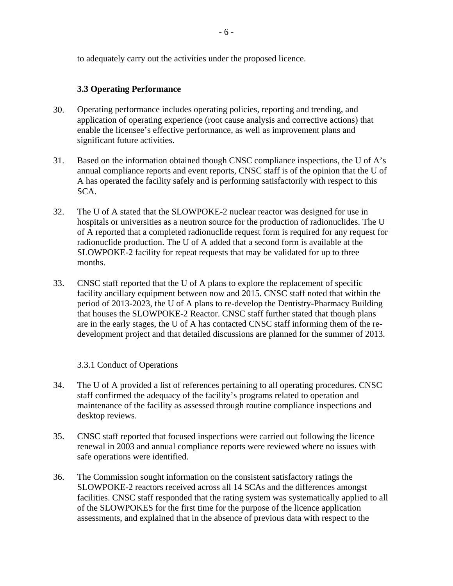to adequately carry out the activities under the proposed licence.

# **3.3 Operating Performance**

- 30. Operating performance includes operating policies, reporting and trending, and application of operating experience (root cause analysis and corrective actions) that enable the licensee's effective performance, as well as improvement plans and significant future activities.
- 31. Based on the information obtained though CNSC compliance inspections, the U of A's annual compliance reports and event reports, CNSC staff is of the opinion that the U of A has operated the facility safely and is performing satisfactorily with respect to this SCA.
- 32. The U of A stated that the SLOWPOKE-2 nuclear reactor was designed for use in hospitals or universities as a neutron source for the production of radionuclides. The U of A reported that a completed radionuclide request form is required for any request for radionuclide production. The U of A added that a second form is available at the SLOWPOKE-2 facility for repeat requests that may be validated for up to three months.
- 33. CNSC staff reported that the U of A plans to explore the replacement of specific facility ancillary equipment between now and 2015. CNSC staff noted that within the period of 2013-2023, the U of A plans to re-develop the Dentistry-Pharmacy Building that houses the SLOWPOKE-2 Reactor. CNSC staff further stated that though plans are in the early stages, the U of A has contacted CNSC staff informing them of the redevelopment project and that detailed discussions are planned for the summer of 2013.

# 3.3.1 Conduct of Operations

- 34. The U of A provided a list of references pertaining to all operating procedures. CNSC staff confirmed the adequacy of the facility's programs related to operation and maintenance of the facility as assessed through routine compliance inspections and desktop reviews.
- 35. CNSC staff reported that focused inspections were carried out following the licence renewal in 2003 and annual compliance reports were reviewed where no issues with safe operations were identified.
- 36. The Commission sought information on the consistent satisfactory ratings the SLOWPOKE-2 reactors received across all 14 SCAs and the differences amongst facilities. CNSC staff responded that the rating system was systematically applied to all of the SLOWPOKES for the first time for the purpose of the licence application assessments, and explained that in the absence of previous data with respect to the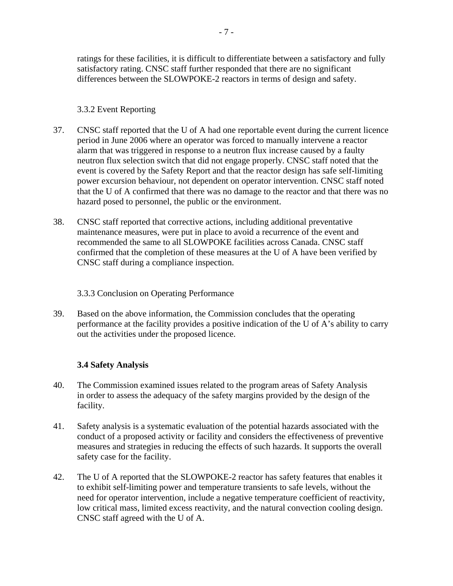ratings for these facilities, it is difficult to differentiate between a satisfactory and fully satisfactory rating. CNSC staff further responded that there are no significant differences between the SLOWPOKE-2 reactors in terms of design and safety.

# 3.3.2 Event Reporting

- 37. CNSC staff reported that the U of A had one reportable event during the current licence period in June 2006 where an operator was forced to manually intervene a reactor alarm that was triggered in response to a neutron flux increase caused by a faulty neutron flux selection switch that did not engage properly. CNSC staff noted that the event is covered by the Safety Report and that the reactor design has safe self-limiting power excursion behaviour, not dependent on operator intervention. CNSC staff noted that the U of A confirmed that there was no damage to the reactor and that there was no hazard posed to personnel, the public or the environment.
- 38. CNSC staff reported that corrective actions, including additional preventative maintenance measures, were put in place to avoid a recurrence of the event and recommended the same to all SLOWPOKE facilities across Canada. CNSC staff confirmed that the completion of these measures at the U of A have been verified by CNSC staff during a compliance inspection.

3.3.3 Conclusion on Operating Performance

39. Based on the above information, the Commission concludes that the operating performance at the facility provides a positive indication of the U of A's ability to carry out the activities under the proposed licence.

# **3.4 Safety Analysis**

- 40. The Commission examined issues related to the program areas of Safety Analysis in order to assess the adequacy of the safety margins provided by the design of the facility.
- 41. Safety analysis is a systematic evaluation of the potential hazards associated with the conduct of a proposed activity or facility and considers the effectiveness of preventive measures and strategies in reducing the effects of such hazards. It supports the overall safety case for the facility.
- 42. The U of A reported that the SLOWPOKE-2 reactor has safety features that enables it to exhibit self-limiting power and temperature transients to safe levels, without the need for operator intervention, include a negative temperature coefficient of reactivity, low critical mass, limited excess reactivity, and the natural convection cooling design. CNSC staff agreed with the U of A.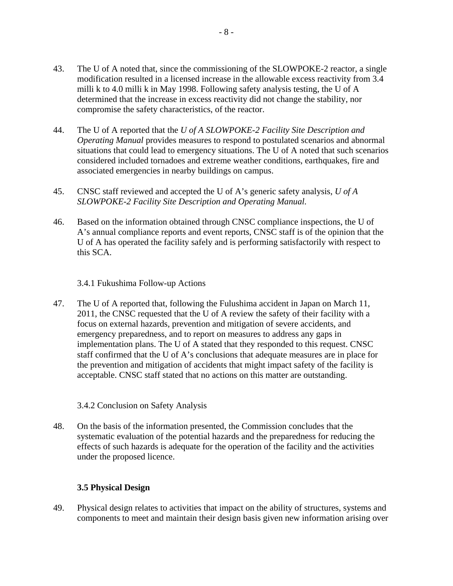- 43. The U of A noted that, since the commissioning of the SLOWPOKE-2 reactor, a single modification resulted in a licensed increase in the allowable excess reactivity from 3.4 milli k to 4.0 milli k in May 1998. Following safety analysis testing, the U of A determined that the increase in excess reactivity did not change the stability, nor compromise the safety characteristics, of the reactor.
- 44. The U of A reported that the *U of A SLOWPOKE-2 Facility Site Description and Operating Manual* provides measures to respond to postulated scenarios and abnormal situations that could lead to emergency situations. The U of A noted that such scenarios considered included tornadoes and extreme weather conditions, earthquakes, fire and associated emergencies in nearby buildings on campus.
- 45. CNSC staff reviewed and accepted the U of A's generic safety analysis, *U of A SLOWPOKE-2 Facility Site Description and Operating Manual.*
- 46. Based on the information obtained through CNSC compliance inspections, the U of A's annual compliance reports and event reports, CNSC staff is of the opinion that the U of A has operated the facility safely and is performing satisfactorily with respect to this SCA.

# 3.4.1 Fukushima Follow-up Actions

47. The U of A reported that, following the Fulushima accident in Japan on March 11, 2011, the CNSC requested that the U of A review the safety of their facility with a focus on external hazards, prevention and mitigation of severe accidents, and emergency preparedness, and to report on measures to address any gaps in implementation plans. The U of A stated that they responded to this request. CNSC staff confirmed that the U of A's conclusions that adequate measures are in place for the prevention and mitigation of accidents that might impact safety of the facility is acceptable. CNSC staff stated that no actions on this matter are outstanding.

#### 3.4.2 Conclusion on Safety Analysis

48. On the basis of the information presented, the Commission concludes that the systematic evaluation of the potential hazards and the preparedness for reducing the effects of such hazards is adequate for the operation of the facility and the activities under the proposed licence.

#### **3.5 Physical Design**

49. Physical design relates to activities that impact on the ability of structures, systems and components to meet and maintain their design basis given new information arising over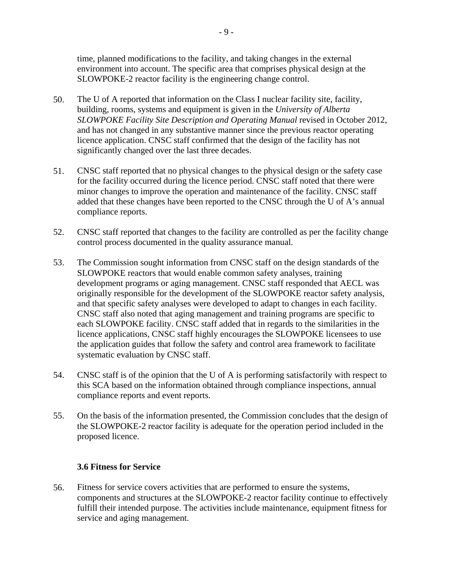time, planned modifications to the facility, and taking changes in the external environment into account. The specific area that comprises physical design at the SLOWPOKE-2 reactor facility is the engineering change control.

- 50. The U of A reported that information on the Class I nuclear facility site, facility, building, rooms, systems and equipment is given in the *University of Alberta SLOWPOKE Facility Site Description and Operating Manual* revised in October 2012, and has not changed in any substantive manner since the previous reactor operating licence application. CNSC staff confirmed that the design of the facility has not significantly changed over the last three decades.
- 51. CNSC staff reported that no physical changes to the physical design or the safety case for the facility occurred during the licence period. CNSC staff noted that there were minor changes to improve the operation and maintenance of the facility. CNSC staff added that these changes have been reported to the CNSC through the U of A's annual compliance reports.
- 52. CNSC staff reported that changes to the facility are controlled as per the facility change control process documented in the quality assurance manual.
- 53. The Commission sought information from CNSC staff on the design standards of the SLOWPOKE reactors that would enable common safety analyses, training development programs or aging management. CNSC staff responded that AECL was originally responsible for the development of the SLOWPOKE reactor safety analysis, and that specific safety analyses were developed to adapt to changes in each facility. CNSC staff also noted that aging management and training programs are specific to each SLOWPOKE facility. CNSC staff added that in regards to the similarities in the licence applications, CNSC staff highly encourages the SLOWPOKE licensees to use the application guides that follow the safety and control area framework to facilitate systematic evaluation by CNSC staff.
- 54. CNSC staff is of the opinion that the U of A is performing satisfactorily with respect to this SCA based on the information obtained through compliance inspections, annual compliance reports and event reports.
- 55. On the basis of the information presented, the Commission concludes that the design of the SLOWPOKE-2 reactor facility is adequate for the operation period included in the proposed licence.

#### **3.6 Fitness for Service**

56. Fitness for service covers activities that are performed to ensure the systems, components and structures at the SLOWPOKE-2 reactor facility continue to effectively fulfill their intended purpose. The activities include maintenance, equipment fitness for service and aging management.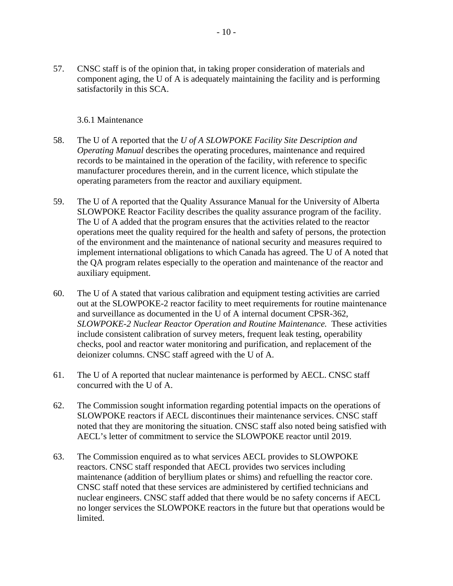57. CNSC staff is of the opinion that, in taking proper consideration of materials and component aging, the U of A is adequately maintaining the facility and is performing satisfactorily in this SCA.

#### 3.6.1 Maintenance

- 58. The U of A reported that the *U of A SLOWPOKE Facility Site Description and Operating Manual* describes the operating procedures, maintenance and required records to be maintained in the operation of the facility, with reference to specific manufacturer procedures therein, and in the current licence, which stipulate the operating parameters from the reactor and auxiliary equipment.
- 59. The U of A reported that the Quality Assurance Manual for the University of Alberta SLOWPOKE Reactor Facility describes the quality assurance program of the facility. The U of A added that the program ensures that the activities related to the reactor operations meet the quality required for the health and safety of persons, the protection of the environment and the maintenance of national security and measures required to implement international obligations to which Canada has agreed. The U of A noted that the QA program relates especially to the operation and maintenance of the reactor and auxiliary equipment.
- 60. The U of A stated that various calibration and equipment testing activities are carried out at the SLOWPOKE-2 reactor facility to meet requirements for routine maintenance and surveillance as documented in the U of A internal document CPSR-362, *SLOWPOKE-2 Nuclear Reactor Operation and Routine Maintenance.* These activities include consistent calibration of survey meters, frequent leak testing, operability checks, pool and reactor water monitoring and purification, and replacement of the deionizer columns. CNSC staff agreed with the U of A.
- 61. The U of A reported that nuclear maintenance is performed by AECL. CNSC staff concurred with the U of A.
- 62. The Commission sought information regarding potential impacts on the operations of SLOWPOKE reactors if AECL discontinues their maintenance services. CNSC staff noted that they are monitoring the situation. CNSC staff also noted being satisfied with AECL's letter of commitment to service the SLOWPOKE reactor until 2019.
- 63. The Commission enquired as to what services AECL provides to SLOWPOKE reactors. CNSC staff responded that AECL provides two services including maintenance (addition of beryllium plates or shims) and refuelling the reactor core. CNSC staff noted that these services are administered by certified technicians and nuclear engineers. CNSC staff added that there would be no safety concerns if AECL no longer services the SLOWPOKE reactors in the future but that operations would be limited.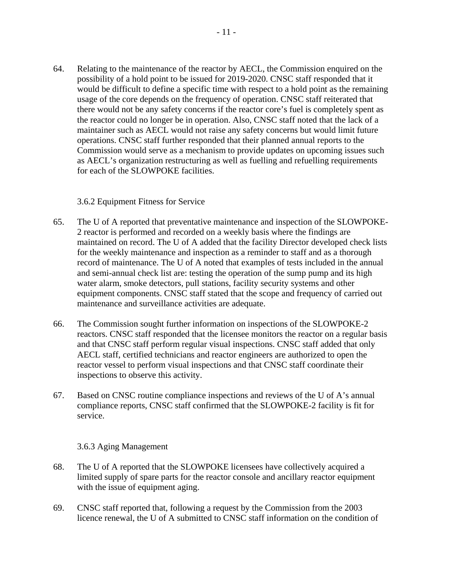64. Relating to the maintenance of the reactor by AECL, the Commission enquired on the possibility of a hold point to be issued for 2019-2020. CNSC staff responded that it would be difficult to define a specific time with respect to a hold point as the remaining usage of the core depends on the frequency of operation. CNSC staff reiterated that there would not be any safety concerns if the reactor core's fuel is completely spent as the reactor could no longer be in operation. Also, CNSC staff noted that the lack of a maintainer such as AECL would not raise any safety concerns but would limit future operations. CNSC staff further responded that their planned annual reports to the Commission would serve as a mechanism to provide updates on upcoming issues such as AECL's organization restructuring as well as fuelling and refuelling requirements for each of the SLOWPOKE facilities.

#### 3.6.2 Equipment Fitness for Service

- 65. The U of A reported that preventative maintenance and inspection of the SLOWPOKE-2 reactor is performed and recorded on a weekly basis where the findings are maintained on record. The U of A added that the facility Director developed check lists for the weekly maintenance and inspection as a reminder to staff and as a thorough record of maintenance. The U of A noted that examples of tests included in the annual and semi-annual check list are: testing the operation of the sump pump and its high water alarm, smoke detectors, pull stations, facility security systems and other equipment components. CNSC staff stated that the scope and frequency of carried out maintenance and surveillance activities are adequate.
- 66. The Commission sought further information on inspections of the SLOWPOKE-2 reactors. CNSC staff responded that the licensee monitors the reactor on a regular basis and that CNSC staff perform regular visual inspections. CNSC staff added that only AECL staff, certified technicians and reactor engineers are authorized to open the reactor vessel to perform visual inspections and that CNSC staff coordinate their inspections to observe this activity.
- 67. Based on CNSC routine compliance inspections and reviews of the U of A's annual compliance reports, CNSC staff confirmed that the SLOWPOKE-2 facility is fit for service.

#### 3.6.3 Aging Management

- 68. The U of A reported that the SLOWPOKE licensees have collectively acquired a limited supply of spare parts for the reactor console and ancillary reactor equipment with the issue of equipment aging.
- 69. CNSC staff reported that, following a request by the Commission from the 2003 licence renewal, the U of A submitted to CNSC staff information on the condition of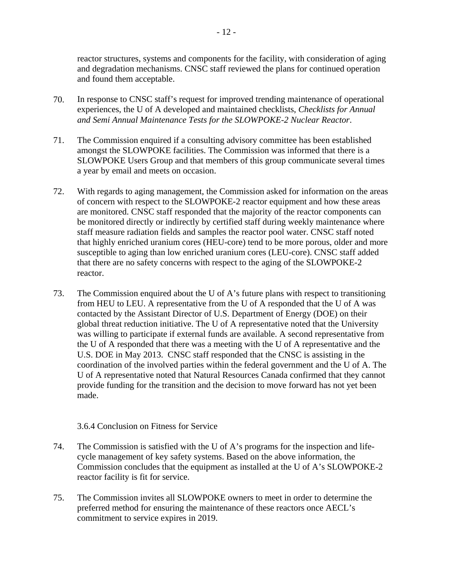reactor structures, systems and components for the facility, with consideration of aging and degradation mechanisms. CNSC staff reviewed the plans for continued operation and found them acceptable.

- 70. In response to CNSC staff's request for improved trending maintenance of operational experiences, the U of A developed and maintained checklists, *Checklists for Annual and Semi Annual Maintenance Tests for the SLOWPOKE-2 Nuclear Reactor*.
- 71. The Commission enquired if a consulting advisory committee has been established amongst the SLOWPOKE facilities. The Commission was informed that there is a SLOWPOKE Users Group and that members of this group communicate several times a year by email and meets on occasion.
- 72. With regards to aging management, the Commission asked for information on the areas of concern with respect to the SLOWPOKE-2 reactor equipment and how these areas are monitored. CNSC staff responded that the majority of the reactor components can be monitored directly or indirectly by certified staff during weekly maintenance where staff measure radiation fields and samples the reactor pool water. CNSC staff noted that highly enriched uranium cores (HEU-core) tend to be more porous, older and more susceptible to aging than low enriched uranium cores (LEU-core). CNSC staff added that there are no safety concerns with respect to the aging of the SLOWPOKE-2 reactor.
- 73. The Commission enquired about the U of A's future plans with respect to transitioning from HEU to LEU. A representative from the U of A responded that the U of A was contacted by the Assistant Director of U.S. Department of Energy (DOE) on their global threat reduction initiative. The U of A representative noted that the University was willing to participate if external funds are available. A second representative from the U of A responded that there was a meeting with the U of A representative and the U.S. DOE in May 2013. CNSC staff responded that the CNSC is assisting in the coordination of the involved parties within the federal government and the U of A. The U of A representative noted that Natural Resources Canada confirmed that they cannot provide funding for the transition and the decision to move forward has not yet been made.

#### 3.6.4 Conclusion on Fitness for Service

- 74. The Commission is satisfied with the U of A's programs for the inspection and lifecycle management of key safety systems. Based on the above information, the Commission concludes that the equipment as installed at the U of A's SLOWPOKE-2 reactor facility is fit for service.
- 75. The Commission invites all SLOWPOKE owners to meet in order to determine the preferred method for ensuring the maintenance of these reactors once AECL's commitment to service expires in 2019.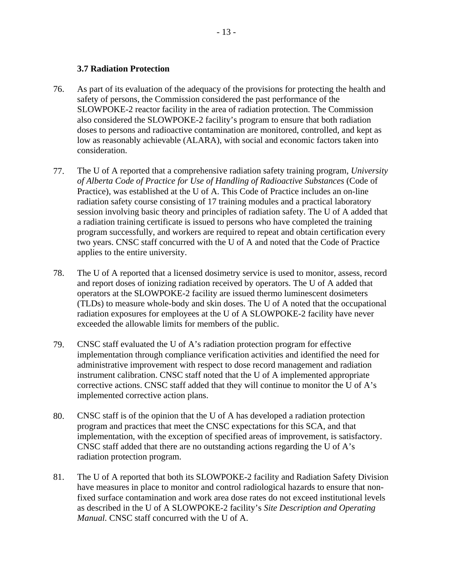#### **3.7 Radiation Protection**

- 76. As part of its evaluation of the adequacy of the provisions for protecting the health and safety of persons, the Commission considered the past performance of the SLOWPOKE-2 reactor facility in the area of radiation protection. The Commission also considered the SLOWPOKE-2 facility's program to ensure that both radiation doses to persons and radioactive contamination are monitored, controlled, and kept as low as reasonably achievable (ALARA), with social and economic factors taken into consideration.
- 77. The U of A reported that a comprehensive radiation safety training program, *University of Alberta Code of Practice for Use of Handling of Radioactive Substances* (Code of Practice), was established at the U of A. This Code of Practice includes an on-line radiation safety course consisting of 17 training modules and a practical laboratory session involving basic theory and principles of radiation safety. The U of A added that a radiation training certificate is issued to persons who have completed the training program successfully, and workers are required to repeat and obtain certification every two years. CNSC staff concurred with the U of A and noted that the Code of Practice applies to the entire university.
- 78. The U of A reported that a licensed dosimetry service is used to monitor, assess, record and report doses of ionizing radiation received by operators. The U of A added that operators at the SLOWPOKE-2 facility are issued thermo luminescent dosimeters (TLDs) to measure whole-body and skin doses. The U of A noted that the occupational radiation exposures for employees at the U of A SLOWPOKE-2 facility have never exceeded the allowable limits for members of the public.
- implemented corrective action plans. 79. CNSC staff evaluated the U of A's radiation protection program for effective implementation through compliance verification activities and identified the need for administrative improvement with respect to dose record management and radiation instrument calibration. CNSC staff noted that the U of A implemented appropriate corrective actions. CNSC staff added that they will continue to monitor the U of A's
- radiation protection program. 80. CNSC staff is of the opinion that the U of A has developed a radiation protection program and practices that meet the CNSC expectations for this SCA, and that implementation, with the exception of specified areas of improvement, is satisfactory. CNSC staff added that there are no outstanding actions regarding the U of A's
- 81. The U of A reported that both its SLOWPOKE-2 facility and Radiation Safety Division have measures in place to monitor and control radiological hazards to ensure that nonfixed surface contamination and work area dose rates do not exceed institutional levels as described in the U of A SLOWPOKE-2 facility's *Site Description and Operating Manual.* CNSC staff concurred with the U of A.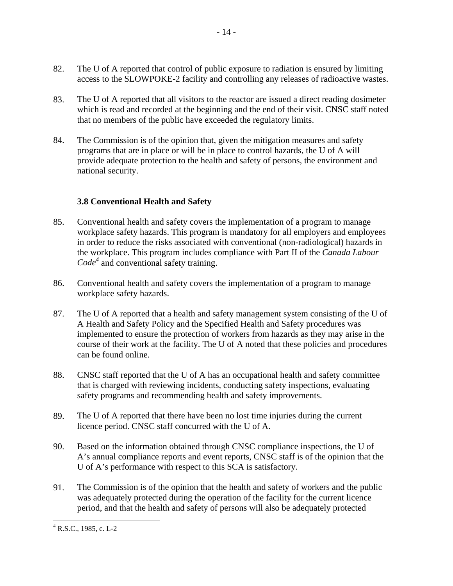- 82. The U of A reported that control of public exposure to radiation is ensured by limiting access to the SLOWPOKE-2 facility and controlling any releases of radioactive wastes.
- 83. The U of A reported that all visitors to the reactor are issued a direct reading dosimeter which is read and recorded at the beginning and the end of their visit. CNSC staff noted that no members of the public have exceeded the regulatory limits.
- 84. The Commission is of the opinion that, given the mitigation measures and safety programs that are in place or will be in place to control hazards, the U of A will provide adequate protection to the health and safety of persons, the environment and national security.

# **3.8 Conventional Health and Safety**

- 85. Conventional health and safety covers the implementation of a program to manage workplace safety hazards. This program is mandatory for all employers and employees in order to reduce the risks associated with conventional (non-radiological) hazards in the workplace. This program includes compliance with Part II of the *Canada Labour Code<sup>4</sup>* and conventional safety training.
- 86. Conventional health and safety covers the implementation of a program to manage workplace safety hazards.
- 87. The U of A reported that a health and safety management system consisting of the U of A Health and Safety Policy and the Specified Health and Safety procedures was implemented to ensure the protection of workers from hazards as they may arise in the course of their work at the facility. The U of A noted that these policies and procedures can be found online.
- 88. CNSC staff reported that the U of A has an occupational health and safety committee that is charged with reviewing incidents, conducting safety inspections, evaluating safety programs and recommending health and safety improvements.
- 89. The U of A reported that there have been no lost time injuries during the current licence period. CNSC staff concurred with the U of A.
- 90. Based on the information obtained through CNSC compliance inspections, the U of A's annual compliance reports and event reports, CNSC staff is of the opinion that the U of A's performance with respect to this SCA is satisfactory.
- 91. The Commission is of the opinion that the health and safety of workers and the public was adequately protected during the operation of the facility for the current licence period, and that the health and safety of persons will also be adequately protected

 $\overline{a}$ 

 $4$  R.S.C., 1985, c. L-2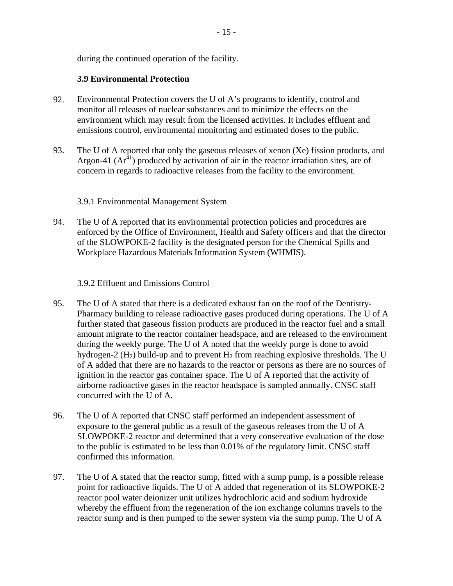during the continued operation of the facility.

# **3.9 Environmental Protection**

- 92. Environmental Protection covers the U of A's programs to identify, control and monitor all releases of nuclear substances and to minimize the effects on the environment which may result from the licensed activities. It includes effluent and emissions control, environmental monitoring and estimated doses to the public.
- 93. The U of A reported that only the gaseous releases of xenon (Xe) fission products, and Argon-41  $(Ar<sup>41</sup>)$  produced by activation of air in the reactor irradiation sites, are of concern in regards to radioactive releases from the facility to the environment.

# 3.9.1 Environmental Management System

94. The U of A reported that its environmental protection policies and procedures are enforced by the Office of Environment, Health and Safety officers and that the director of the SLOWPOKE-2 facility is the designated person for the Chemical Spills and Workplace Hazardous Materials Information System (WHMIS).

# 3.9.2 Effluent and Emissions Control

- 95. The U of A stated that there is a dedicated exhaust fan on the roof of the Dentistry-Pharmacy building to release radioactive gases produced during operations. The U of A further stated that gaseous fission products are produced in the reactor fuel and a small amount migrate to the reactor container headspace, and are released to the environment during the weekly purge. The U of A noted that the weekly purge is done to avoid hydrogen-2  $(H<sub>2</sub>)$  build-up and to prevent  $H<sub>2</sub>$  from reaching explosive thresholds. The U of A added that there are no hazards to the reactor or persons as there are no sources of ignition in the reactor gas container space. The U of A reported that the activity of airborne radioactive gases in the reactor headspace is sampled annually. CNSC staff concurred with the U of A.
- 96. The U of A reported that CNSC staff performed an independent assessment of exposure to the general public as a result of the gaseous releases from the U of A SLOWPOKE-2 reactor and determined that a very conservative evaluation of the dose to the public is estimated to be less than 0.01% of the regulatory limit. CNSC staff confirmed this information.
- 97. The U of A stated that the reactor sump, fitted with a sump pump, is a possible release point for radioactive liquids. The U of A added that regeneration of its SLOWPOKE-2 reactor pool water deionizer unit utilizes hydrochloric acid and sodium hydroxide whereby the effluent from the regeneration of the ion exchange columns travels to the reactor sump and is then pumped to the sewer system via the sump pump. The U of A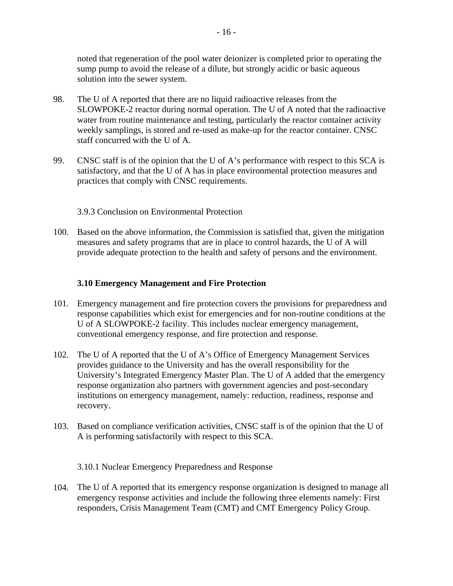noted that regeneration of the pool water deionizer is completed prior to operating the sump pump to avoid the release of a dilute, but strongly acidic or basic aqueous solution into the sewer system.

- 98. The U of A reported that there are no liquid radioactive releases from the SLOWPOKE-2 reactor during normal operation. The U of A noted that the radioactive water from routine maintenance and testing, particularly the reactor container activity weekly samplings, is stored and re-used as make-up for the reactor container. CNSC staff concurred with the U of A.
- 99. CNSC staff is of the opinion that the U of A's performance with respect to this SCA is satisfactory, and that the U of A has in place environmental protection measures and practices that comply with CNSC requirements.

3.9.3 Conclusion on Environmental Protection

100. Based on the above information, the Commission is satisfied that, given the mitigation measures and safety programs that are in place to control hazards, the U of A will provide adequate protection to the health and safety of persons and the environment.

# **3.10 Emergency Management and Fire Protection**

- 101. Emergency management and fire protection covers the provisions for preparedness and response capabilities which exist for emergencies and for non-routine conditions at the U of A SLOWPOKE-2 facility. This includes nuclear emergency management, conventional emergency response, and fire protection and response.
- 102. The U of A reported that the U of A's Office of Emergency Management Services provides guidance to the University and has the overall responsibility for the University's Integrated Emergency Master Plan. The U of A added that the emergency response organization also partners with government agencies and post-secondary institutions on emergency management, namely: reduction, readiness, response and recovery.
- 103. Based on compliance verification activities, CNSC staff is of the opinion that the U of A is performing satisfactorily with respect to this SCA.

3.10.1 Nuclear Emergency Preparedness and Response

104. The U of A reported that its emergency response organization is designed to manage all emergency response activities and include the following three elements namely: First responders, Crisis Management Team (CMT) and CMT Emergency Policy Group.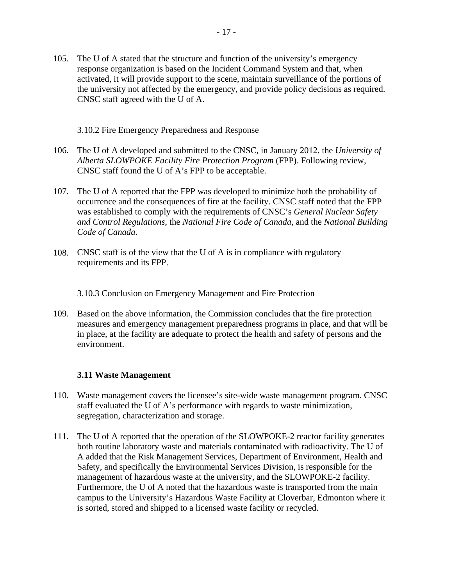105. The U of A stated that the structure and function of the university's emergency response organization is based on the Incident Command System and that, when activated, it will provide support to the scene, maintain surveillance of the portions of the university not affected by the emergency, and provide policy decisions as required. CNSC staff agreed with the U of A.

3.10.2 Fire Emergency Preparedness and Response

- 106. The U of A developed and submitted to the CNSC, in January 2012, the *University of Alberta SLOWPOKE Facility Fire Protection Program* (FPP). Following review, CNSC staff found the U of A's FPP to be acceptable.
- 107. The U of A reported that the FPP was developed to minimize both the probability of occurrence and the consequences of fire at the facility. CNSC staff noted that the FPP was established to comply with the requirements of CNSC's *General Nuclear Safety and Control Regulations*, the *National Fire Code of Canada*, and the *National Building Code of Canada*.
- 108. CNSC staff is of the view that the U of A is in compliance with regulatory requirements and its FPP.

3.10.3 Conclusion on Emergency Management and Fire Protection

109. Based on the above information, the Commission concludes that the fire protection measures and emergency management preparedness programs in place, and that will be in place, at the facility are adequate to protect the health and safety of persons and the environment.

#### **3.11 Waste Management**

- 110. Waste management covers the licensee's site-wide waste management program. CNSC staff evaluated the U of A's performance with regards to waste minimization, segregation, characterization and storage.
- 111. The U of A reported that the operation of the SLOWPOKE-2 reactor facility generates both routine laboratory waste and materials contaminated with radioactivity. The U of A added that the Risk Management Services, Department of Environment, Health and Safety, and specifically the Environmental Services Division, is responsible for the management of hazardous waste at the university, and the SLOWPOKE-2 facility. Furthermore, the U of A noted that the hazardous waste is transported from the main campus to the University's Hazardous Waste Facility at Cloverbar, Edmonton where it is sorted, stored and shipped to a licensed waste facility or recycled.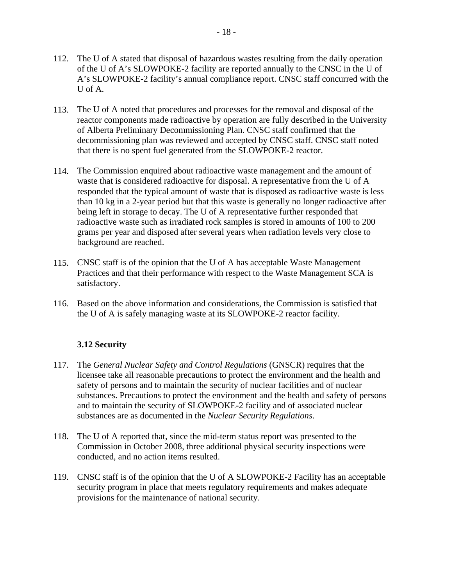- 113. The U of A noted that procedures and processes for the removal and disposal of the reactor components made radioactive by operation are fully described in the University of Alberta Preliminary Decommissioning Plan. CNSC staff confirmed that the decommissioning plan was reviewed and accepted by CNSC staff. CNSC staff noted that there is no spent fuel generated from the SLOWPOKE-2 reactor.
- 114. The Commission enquired about radioactive waste management and the amount of waste that is considered radioactive for disposal. A representative from the U of A responded that the typical amount of waste that is disposed as radioactive waste is less than 10 kg in a 2-year period but that this waste is generally no longer radioactive after being left in storage to decay. The U of A representative further responded that radioactive waste such as irradiated rock samples is stored in amounts of 100 to 200 grams per year and disposed after several years when radiation levels very close to background are reached.
- 115. CNSC staff is of the opinion that the U of A has acceptable Waste Management Practices and that their performance with respect to the Waste Management SCA is satisfactory.
- the U of A is safely managing waste at its SLOWPOKE-2 reactor facility. 116. Based on the above information and considerations, the Commission is satisfied that

# **3.12 Security**

- 117. The *General Nuclear Safety and Control Regulations* (GNSCR) requires that the licensee take all reasonable precautions to protect the environment and the health and safety of persons and to maintain the security of nuclear facilities and of nuclear substances. Precautions to protect the environment and the health and safety of persons and to maintain the security of SLOWPOKE-2 facility and of associated nuclear substances are as documented in the *Nuclear Security Regulations*.
- 118. The U of A reported that, since the mid-term status report was presented to the Commission in October 2008, three additional physical security inspections were conducted, and no action items resulted.
- 119. CNSC staff is of the opinion that the U of A SLOWPOKE-2 Facility has an acceptable security program in place that meets regulatory requirements and makes adequate provisions for the maintenance of national security.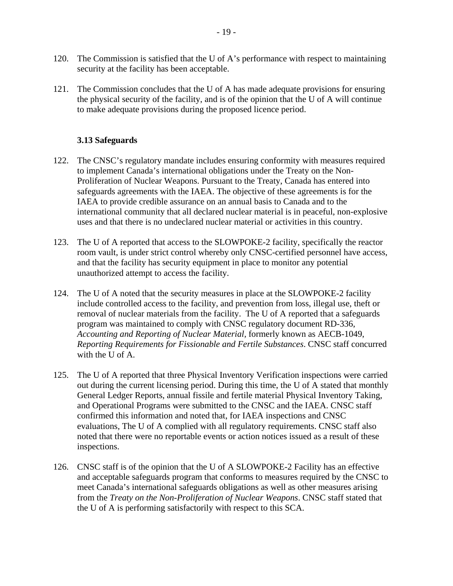- 120. The Commission is satisfied that the U of A's performance with respect to maintaining security at the facility has been acceptable.
- 121. The Commission concludes that the U of A has made adequate provisions for ensuring the physical security of the facility, and is of the opinion that the U of A will continue to make adequate provisions during the proposed licence period.

# **3.13 Safeguards**

- 122. The CNSC's regulatory mandate includes ensuring conformity with measures required to implement Canada's international obligations under the Treaty on the Non-Proliferation of Nuclear Weapons. Pursuant to the Treaty, Canada has entered into safeguards agreements with the IAEA. The objective of these agreements is for the IAEA to provide credible assurance on an annual basis to Canada and to the international community that all declared nuclear material is in peaceful, non-explosive uses and that there is no undeclared nuclear material or activities in this country.
- 123. The U of A reported that access to the SLOWPOKE-2 facility, specifically the reactor room vault, is under strict control whereby only CNSC-certified personnel have access, and that the facility has security equipment in place to monitor any potential unauthorized attempt to access the facility.
- 124. The U of A noted that the security measures in place at the SLOWPOKE-2 facility include controlled access to the facility, and prevention from loss, illegal use, theft or removal of nuclear materials from the facility. The U of A reported that a safeguards program was maintained to comply with CNSC regulatory document RD-336, *Accounting and Reporting of Nuclear Material,* formerly known as AECB-1049, *Reporting Requirements for Fissionable and Fertile Substances*. CNSC staff concurred with the U of A.
- 125. The U of A reported that three Physical Inventory Verification inspections were carried out during the current licensing period. During this time, the U of A stated that monthly General Ledger Reports, annual fissile and fertile material Physical Inventory Taking, and Operational Programs were submitted to the CNSC and the IAEA. CNSC staff confirmed this information and noted that, for IAEA inspections and CNSC evaluations, The U of A complied with all regulatory requirements. CNSC staff also noted that there were no reportable events or action notices issued as a result of these inspections.
- 126. CNSC staff is of the opinion that the U of A SLOWPOKE-2 Facility has an effective and acceptable safeguards program that conforms to measures required by the CNSC to meet Canada's international safeguards obligations as well as other measures arising from the *Treaty on the Non-Proliferation of Nuclear Weapons*. CNSC staff stated that the U of A is performing satisfactorily with respect to this SCA.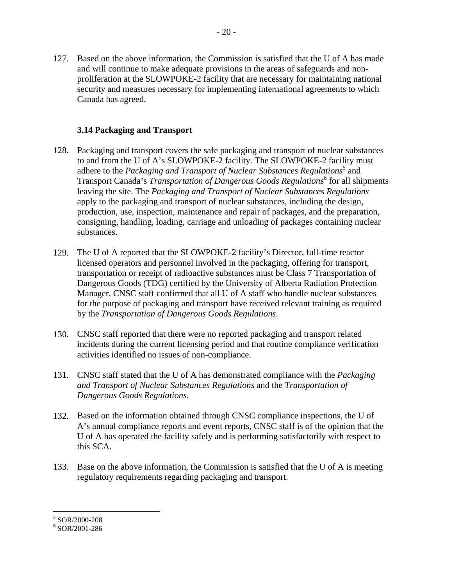127. Based on the above information, the Commission is satisfied that the U of A has made and will continue to make adequate provisions in the areas of safeguards and nonproliferation at the SLOWPOKE-2 facility that are necessary for maintaining national security and measures necessary for implementing international agreements to which Canada has agreed.

#### **3.14 Packaging and Transport**

- 128. Packaging and transport covers the safe packaging and transport of nuclear substances to and from the U of A's SLOWPOKE-2 facility. The SLOWPOKE-2 facility must adhere to the *Packaging and Transport of Nuclear Substances Regulations*<sup>5</sup> and Transport Canada's *Transportation of Dangerous Goods Regulations*<sup>6</sup> for all shipments leaving the site. The *Packaging and Transport of Nuclear Substances Regulations*  apply to the packaging and transport of nuclear substances, including the design, production, use, inspection, maintenance and repair of packages, and the preparation, consigning, handling, loading, carriage and unloading of packages containing nuclear substances.
- 129. The U of A reported that the SLOWPOKE-2 facility's Director, full-time reactor licensed operators and personnel involved in the packaging, offering for transport, transportation or receipt of radioactive substances must be Class 7 Transportation of Dangerous Goods (TDG) certified by the University of Alberta Radiation Protection Manager. CNSC staff confirmed that all U of A staff who handle nuclear substances for the purpose of packaging and transport have received relevant training as required by the *Transportation of Dangerous Goods Regulations*.
- 130. CNSC staff reported that there were no reported packaging and transport related incidents during the current licensing period and that routine compliance verification activities identified no issues of non-compliance.
- 131. CNSC staff stated that the U of A has demonstrated compliance with the *Packaging and Transport of Nuclear Substances Regulations* and the *Transportation of Dangerous Goods Regulations*.
- 132. Based on the information obtained through CNSC compliance inspections, the U of A's annual compliance reports and event reports, CNSC staff is of the opinion that the U of A has operated the facility safely and is performing satisfactorily with respect to this SCA.
- 133. Base on the above information, the Commission is satisfied that the U of A is meeting regulatory requirements regarding packaging and transport.

 5 SOR/2000-208

<sup>6</sup> SOR/2001-286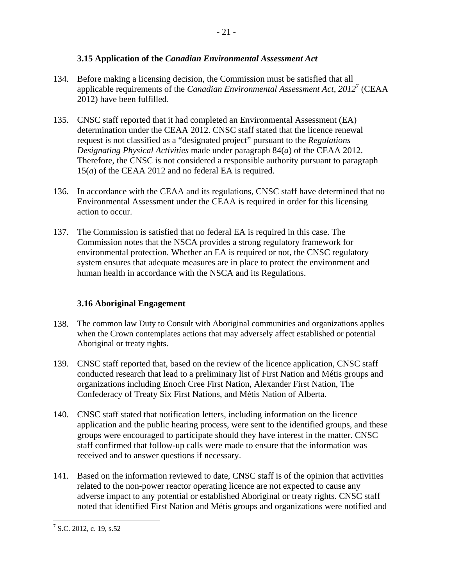# **3.15 Application of the** *Canadian Environmental Assessment Act*

- 134. Before making a licensing decision, the Commission must be satisfied that all applicable requirements of the *Canadian Environmental Assessment Act, 2012*7 (CEAA 2012) have been fulfilled.
- 135. CNSC staff reported that it had completed an Environmental Assessment (EA) determination under the CEAA 2012. CNSC staff stated that the licence renewal request is not classified as a "designated project" pursuant to the *Regulations Designating Physical Activities* made under paragraph 84(*a*) of the CEAA 2012. Therefore, the CNSC is not considered a responsible authority pursuant to paragraph 15(*a*) of the CEAA 2012 and no federal EA is required.
- 136. In accordance with the CEAA and its regulations, CNSC staff have determined that no Environmental Assessment under the CEAA is required in order for this licensing action to occur.
- 137. The Commission is satisfied that no federal EA is required in this case. The Commission notes that the NSCA provides a strong regulatory framework for environmental protection. Whether an EA is required or not, the CNSC regulatory system ensures that adequate measures are in place to protect the environment and human health in accordance with the NSCA and its Regulations.

# **3.16 Aboriginal Engagement**

- 138. The common law Duty to Consult with Aboriginal communities and organizations applies when the Crown contemplates actions that may adversely affect established or potential Aboriginal or treaty rights.
- 139. CNSC staff reported that, based on the review of the licence application, CNSC staff conducted research that lead to a preliminary list of First Nation and Métis groups and organizations including Enoch Cree First Nation, Alexander First Nation, The Confederacy of Treaty Six First Nations, and Métis Nation of Alberta.
- 140. CNSC staff stated that notification letters, including information on the licence application and the public hearing process, were sent to the identified groups, and these groups were encouraged to participate should they have interest in the matter. CNSC staff confirmed that follow-up calls were made to ensure that the information was received and to answer questions if necessary.
- 141. Based on the information reviewed to date, CNSC staff is of the opinion that activities related to the non-power reactor operating licence are not expected to cause any adverse impact to any potential or established Aboriginal or treaty rights. CNSC staff noted that identified First Nation and Métis groups and organizations were notified and

<sup>&</sup>lt;u>.</u>  $<sup>7</sup>$  S.C. 2012, c. 19, s.52</sup>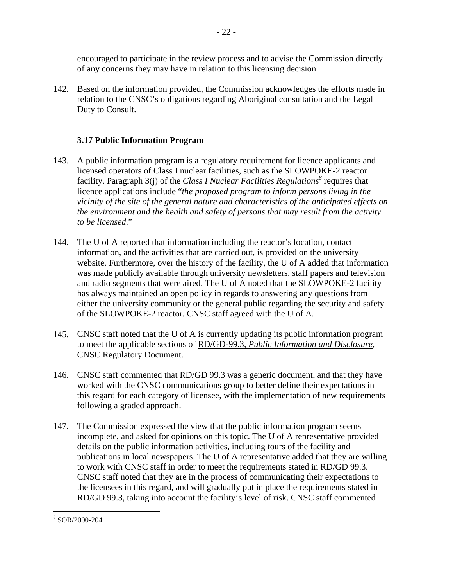encouraged to participate in the review process and to advise the Commission directly of any concerns they may have in relation to this licensing decision.

142. Based on the information provided, the Commission acknowledges the efforts made in relation to the CNSC's obligations regarding Aboriginal consultation and the Legal Duty to Consult.

# **3.17 Public Information Program**

- 143. A public information program is a regulatory requirement for licence applicants and licensed operators of Class I nuclear facilities, such as the SLOWPOKE-2 reactor facility. Paragraph 3(j) of the *Class I Nuclear Facilities Regulations*<sup>8</sup> requires that licence applications include "*the proposed program to inform persons living in the vicinity of the site of the general nature and characteristics of the anticipated effects on the environment and the health and safety of persons that may result from the activity to be licensed*."
- 144. The U of A reported that information including the reactor's location, contact information, and the activities that are carried out, is provided on the university website. Furthermore, over the history of the facility, the U of A added that information was made publicly available through university newsletters, staff papers and television and radio segments that were aired. The U of A noted that the SLOWPOKE-2 facility has always maintained an open policy in regards to answering any questions from either the university community or the general public regarding the security and safety of the SLOWPOKE-2 reactor. CNSC staff agreed with the U of A.
- 145. CNSC staff noted that the U of A is currently updating its public information program to meet the applicable sections of RD/GD-99.3, *Public Information and Disclosure*, CNSC Regulatory Document.
- 146. CNSC staff commented that RD/GD 99.3 was a generic document, and that they have worked with the CNSC communications group to better define their expectations in this regard for each category of licensee, with the implementation of new requirements following a graded approach.
- 147. The Commission expressed the view that the public information program seems incomplete, and asked for opinions on this topic. The U of A representative provided details on the public information activities, including tours of the facility and publications in local newspapers. The U of A representative added that they are willing to work with CNSC staff in order to meet the requirements stated in RD/GD 99.3. CNSC staff noted that they are in the process of communicating their expectations to the licensees in this regard, and will gradually put in place the requirements stated in RD/GD 99.3, taking into account the facility's level of risk. CNSC staff commented

<sup>1</sup> 8 SOR/2000-204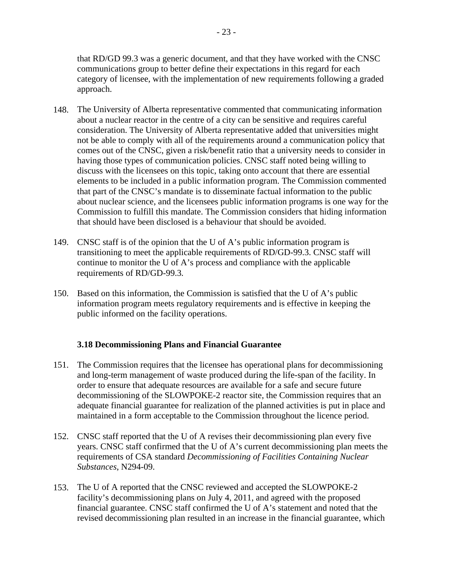that RD/GD 99.3 was a generic document, and that they have worked with the CNSC communications group to better define their expectations in this regard for each category of licensee, with the implementation of new requirements following a graded approach.

- 148. The University of Alberta representative commented that communicating information about a nuclear reactor in the centre of a city can be sensitive and requires careful consideration. The University of Alberta representative added that universities might not be able to comply with all of the requirements around a communication policy that comes out of the CNSC, given a risk/benefit ratio that a university needs to consider in having those types of communication policies. CNSC staff noted being willing to discuss with the licensees on this topic, taking onto account that there are essential elements to be included in a public information program. The Commission commented that part of the CNSC's mandate is to disseminate factual information to the public about nuclear science, and the licensees public information programs is one way for the Commission to fulfill this mandate. The Commission considers that hiding information that should have been disclosed is a behaviour that should be avoided.
- 149. CNSC staff is of the opinion that the U of A's public information program is transitioning to meet the applicable requirements of RD/GD-99.3. CNSC staff will continue to monitor the U of A's process and compliance with the applicable requirements of RD/GD-99.3*.*
- 150. Based on this information, the Commission is satisfied that the U of A's public information program meets regulatory requirements and is effective in keeping the public informed on the facility operations.

# **3.18 Decommissioning Plans and Financial Guarantee**

- 151. The Commission requires that the licensee has operational plans for decommissioning and long-term management of waste produced during the life-span of the facility. In order to ensure that adequate resources are available for a safe and secure future decommissioning of the SLOWPOKE-2 reactor site, the Commission requires that an adequate financial guarantee for realization of the planned activities is put in place and maintained in a form acceptable to the Commission throughout the licence period.
- 152. CNSC staff reported that the U of A revises their decommissioning plan every five years. CNSC staff confirmed that the U of A's current decommissioning plan meets the requirements of CSA standard *Decommissioning of Facilities Containing Nuclear Substances*, N294-09.
- 153. The U of A reported that the CNSC reviewed and accepted the SLOWPOKE-2 facility's decommissioning plans on July 4, 2011, and agreed with the proposed financial guarantee. CNSC staff confirmed the U of A's statement and noted that the revised decommissioning plan resulted in an increase in the financial guarantee, which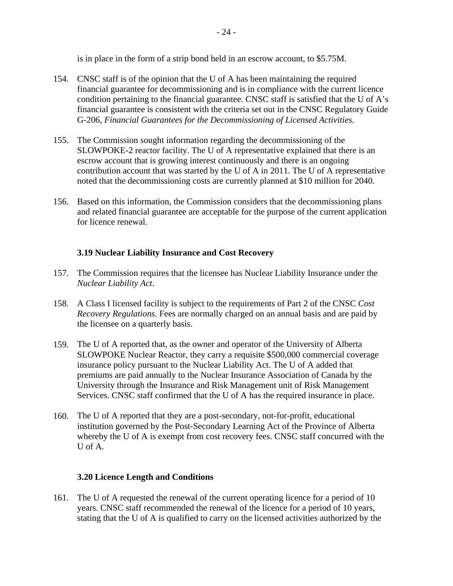is in place in the form of a strip bond held in an escrow account, to \$5.75M.

- 154. CNSC staff is of the opinion that the U of A has been maintaining the required financial guarantee for decommissioning and is in compliance with the current licence condition pertaining to the financial guarantee. CNSC staff is satisfied that the U of A's financial guarantee is consistent with the criteria set out in the CNSC Regulatory Guide G-206, *Financial Guarantees for the Decommissioning of Licensed Activities.*
- 155. The Commission sought information regarding the decommissioning of the SLOWPOKE-2 reactor facility. The U of A representative explained that there is an escrow account that is growing interest continuously and there is an ongoing contribution account that was started by the U of A in 2011. The U of A representative noted that the decommissioning costs are currently planned at \$10 million for 2040.
- 156. Based on this information, the Commission considers that the decommissioning plans and related financial guarantee are acceptable for the purpose of the current application for licence renewal.

# **3.19 Nuclear Liability Insurance and Cost Recovery**

- 157. The Commission requires that the licensee has Nuclear Liability Insurance under the *Nuclear Liability Act*.
- 158. A Class I licensed facility is subject to the requirements of Part 2 of the CNSC *Cost Recovery Regulations*. Fees are normally charged on an annual basis and are paid by the licensee on a quarterly basis.
- 159. The U of A reported that, as the owner and operator of the University of Alberta SLOWPOKE Nuclear Reactor, they carry a requisite \$500,000 commercial coverage insurance policy pursuant to the Nuclear Liability Act. The U of A added that premiums are paid annually to the Nuclear Insurance Association of Canada by the University through the Insurance and Risk Management unit of Risk Management Services. CNSC staff confirmed that the U of A has the required insurance in place.
- 160. The U of A reported that they are a post-secondary, not-for-profit, educational institution governed by the Post-Secondary Learning Act of the Province of Alberta whereby the U of A is exempt from cost recovery fees. CNSC staff concurred with the U of A.

#### **3.20 Licence Length and Conditions**

161. The U of A requested the renewal of the current operating licence for a period of 10 years. CNSC staff recommended the renewal of the licence for a period of 10 years, stating that the U of A is qualified to carry on the licensed activities authorized by the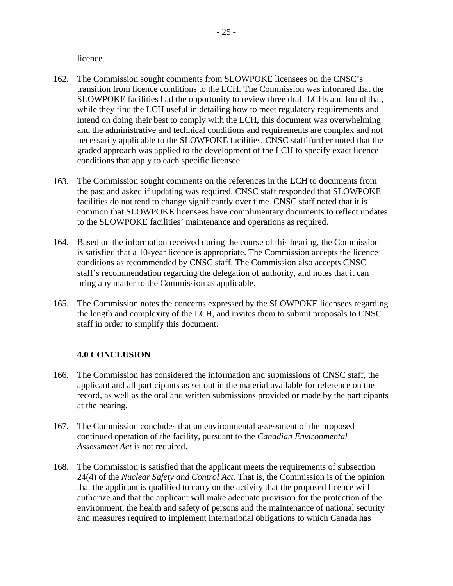licence.

- 162. The Commission sought comments from SLOWPOKE licensees on the CNSC's transition from licence conditions to the LCH. The Commission was informed that the SLOWPOKE facilities had the opportunity to review three draft LCHs and found that, while they find the LCH useful in detailing how to meet regulatory requirements and intend on doing their best to comply with the LCH, this document was overwhelming and the administrative and technical conditions and requirements are complex and not necessarily applicable to the SLOWPOKE facilities. CNSC staff further noted that the graded approach was applied to the development of the LCH to specify exact licence conditions that apply to each specific licensee.
- 163. The Commission sought comments on the references in the LCH to documents from the past and asked if updating was required. CNSC staff responded that SLOWPOKE facilities do not tend to change significantly over time. CNSC staff noted that it is common that SLOWPOKE licensees have complimentary documents to reflect updates to the SLOWPOKE facilities' maintenance and operations as required.
- 164. Based on the information received during the course of this hearing, the Commission is satisfied that a 10-year licence is appropriate. The Commission accepts the licence conditions as recommended by CNSC staff. The Commission also accepts CNSC staff's recommendation regarding the delegation of authority, and notes that it can bring any matter to the Commission as applicable.
- 165. The Commission notes the concerns expressed by the SLOWPOKE licensees regarding the length and complexity of the LCH, and invites them to submit proposals to CNSC staff in order to simplify this document.

# **4.0 CONCLUSION**

- 166. The Commission has considered the information and submissions of CNSC staff, the applicant and all participants as set out in the material available for reference on the record, as well as the oral and written submissions provided or made by the participants at the hearing.
- 167. The Commission concludes that an environmental assessment of the proposed continued operation of the facility, pursuant to the *Canadian Environmental Assessment Act* is not required.
- 168. The Commission is satisfied that the applicant meets the requirements of subsection 24(4) of the *Nuclear Safety and Control Act*. That is, the Commission is of the opinion that the applicant is qualified to carry on the activity that the proposed licence will authorize and that the applicant will make adequate provision for the protection of the environment, the health and safety of persons and the maintenance of national security and measures required to implement international obligations to which Canada has